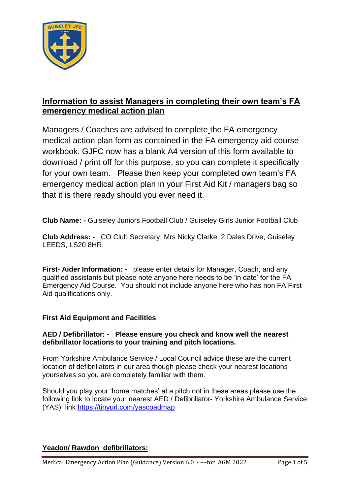

# **Information to assist Managers in completing their own team's FA emergency medical action plan**

Managers / Coaches are advised to complete the FA emergency medical action plan form as contained in the FA emergency aid course workbook. GJFC now has a blank A4 version of this form available to download / print off for this purpose, so you can complete it specifically for your own team. Please then keep your completed own team's FA emergency medical action plan in your First Aid Kit / managers bag so that it is there ready should you ever need it.

**Club Name: -** Guiseley Juniors Football Club / Guiseley Girls Junior Football Club

**Club Address: -** CO Club Secretary, Mrs Nicky Clarke, 2 Dales Drive, Guiseley LEEDS, LS20 8HR.

**First- Aider Information: -** please enter details for Manager, Coach, and any qualified assistants but please note anyone here needs to be 'in date' for the FA Emergency Aid Course. You should not include anyone here who has non FA First Aid qualifications only.

# **First Aid Equipment and Facilities**

## **AED / Defibrillator: - Please ensure you check and know well the nearest defibrillator locations to your training and pitch locations.**

From Yorkshire Ambulance Service / Local Council advice these are the current location of defibrillators in our area though please check your nearest locations yourselves so you are completely familiar with them.

Should you play your 'home matches' at a pitch not in these areas please use the following link to locate your nearest AED / Defibrillator- Yorkshire Ambulance Service (YAS) link<https://tinyurl.com/yascpadmap>

# **Yeadon/ Rawdon defibrillators:**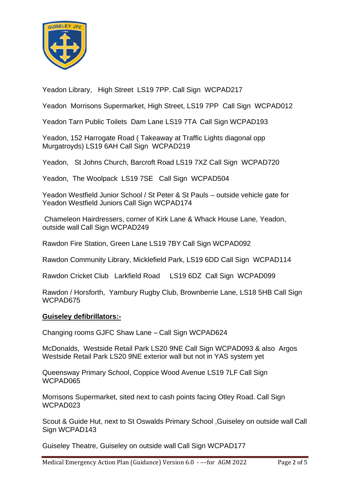

Yeadon Library, High Street LS19 7PP. Call Sign WCPAD217

Yeadon Morrisons Supermarket, High Street, LS19 7PP Call Sign WCPAD012

Yeadon Tarn Public Toilets Dam Lane LS19 7TA Call Sign WCPAD193

Yeadon, 152 Harrogate Road ( Takeaway at Traffic Lights diagonal opp Murgatroyds) LS19 6AH Call Sign WCPAD219

Yeadon, St Johns Church, Barcroft Road LS19 7XZ Call Sign WCPAD720

Yeadon, The Woolpack LS19 7SE Call Sign WCPAD504

Yeadon Westfield Junior School / St Peter & St Pauls – outside vehicle gate for Yeadon Westfield Juniors Call Sign WCPAD174

Chameleon Hairdressers, corner of Kirk Lane & Whack House Lane, Yeadon, outside wall Call Sign WCPAD249

Rawdon Fire Station, Green Lane LS19 7BY Call Sign WCPAD092

Rawdon Community Library, Micklefield Park, LS19 6DD Call Sign WCPAD114

Rawdon Cricket Club Larkfield Road LS19 6DZ Call Sign WCPAD099

Rawdon / Horsforth, Yarnbury Rugby Club, Brownberrie Lane, LS18 5HB Call Sign WCPAD675

#### **Guiseley defibrillators:-**

Changing rooms GJFC Shaw Lane – Call Sign WCPAD624

McDonalds, Westside Retail Park LS20 9NE Call Sign WCPAD093 & also Argos Westside Retail Park LS20 9NE exterior wall but not in YAS system yet

Queensway Primary School, Coppice Wood Avenue LS19 7LF Call Sign WCPAD065

Morrisons Supermarket, sited next to cash points facing Otley Road, Call Sign WCPAD023

Scout & Guide Hut, next to St Oswalds Primary School ,Guiseley on outside wall Call Sign WCPAD143

Guiseley Theatre, Guiseley on outside wall Call Sign WCPAD177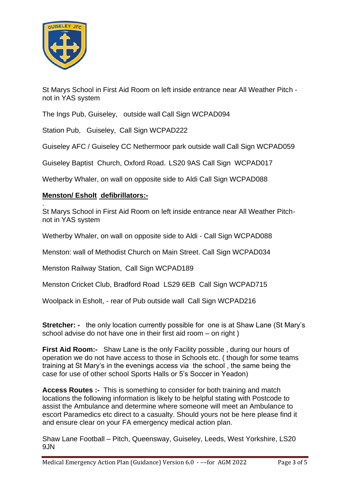

.

St Marys School in First Aid Room on left inside entrance near All Weather Pitch not in YAS system

The Ings Pub, Guiseley, outside wall Call Sign WCPAD094

Station Pub, Guiseley, Call Sign WCPAD222

Guiseley AFC / Guiseley CC Nethermoor park outside wall Call Sign WCPAD059

Guiseley Baptist Church, Oxford Road. LS20 9AS Call Sign WCPAD017

Wetherby Whaler, on wall on opposite side to Aldi Call Sign WCPAD088

## **Menston/ Esholt defibrillators:-**

St Marys School in First Aid Room on left inside entrance near All Weather Pitchnot in YAS system

Wetherby Whaler, on wall on opposite side to Aldi - Call Sign WCPAD088

Menston: wall of Methodist Church on Main Street. Call Sign WCPAD034

Menston Railway Station, Call Sign WCPAD189

Menston Cricket Club, Bradford Road LS29 6EB Call Sign WCPAD715

Woolpack in Esholt, - rear of Pub outside wall Call Sign WCPAD216

**Stretcher:** - the only location currently possible for one is at Shaw Lane (St Mary's school advise do not have one in their first aid room – on right)

**First Aid Room:-** Shaw Lane is the only Facility possible , during our hours of operation we do not have access to those in Schools etc. ( though for some teams training at St Mary's in the evenings access via the school , the same being the case for use of other school Sports Halls or 5's Soccer in Yeadon)

**Access Routes :-** This is something to consider for both training and match locations the following information is likely to be helpful stating with Postcode to assist the Ambulance and determine where someone will meet an Ambulance to escort Paramedics etc direct to a casualty. Should yours not be here please find it and ensure clear on your FA emergency medical action plan.

Shaw Lane Football – Pitch, Queensway, Guiseley, Leeds, West Yorkshire, LS20 9JN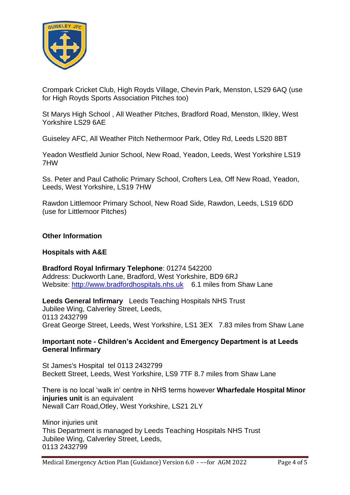

Crompark Cricket Club, High Royds Village, Chevin Park, Menston, LS29 6AQ (use for High Royds Sports Association Pitches too)

St Marys High School , All Weather Pitches, Bradford Road, Menston, Ilkley, West Yorkshire LS29 6AE

Guiseley AFC, All Weather Pitch Nethermoor Park, Otley Rd, Leeds LS20 8BT

Yeadon Westfield Junior School, New Road, Yeadon, Leeds, West Yorkshire LS19 7HW

Ss. Peter and Paul Catholic Primary School, Crofters Lea, Off New Road, Yeadon, Leeds, West Yorkshire, LS19 7HW

Rawdon Littlemoor Primary School, New Road Side, Rawdon, Leeds, LS19 6DD (use for Littlemoor Pitches)

#### **Other Information**

#### **Hospitals with A&E**

**Bradford Royal Infirmary Telephone**: 01274 542200 Address: Duckworth Lane, Bradford, West Yorkshire, BD9 6RJ Website: [http://www.bradfordhospitals.nhs.uk](http://www.bradfordhospitals.nhs.uk/) 6.1 miles from Shaw Lane

**Leeds General Infirmary** Leeds Teaching Hospitals NHS Trust Jubilee Wing, Calverley Street, Leeds, 0113 2432799 Great George Street, Leeds, West Yorkshire, LS1 3EX 7.83 miles from Shaw Lane

#### **Important note - Children's Accident and Emergency Department is at Leeds General Infirmary**

St James's Hospital tel 0113 2432799 Beckett Street, Leeds, West Yorkshire, LS9 7TF 8.7 miles from Shaw Lane

There is no local 'walk in' centre in NHS terms however **Wharfedale Hospital Minor injuries unit** is an equivalent Newall Carr Road,Otley, West Yorkshire, LS21 2LY

Minor injuries unit This Department is managed by Leeds Teaching Hospitals NHS Trust Jubilee Wing, Calverley Street, Leeds, 0113 2432799